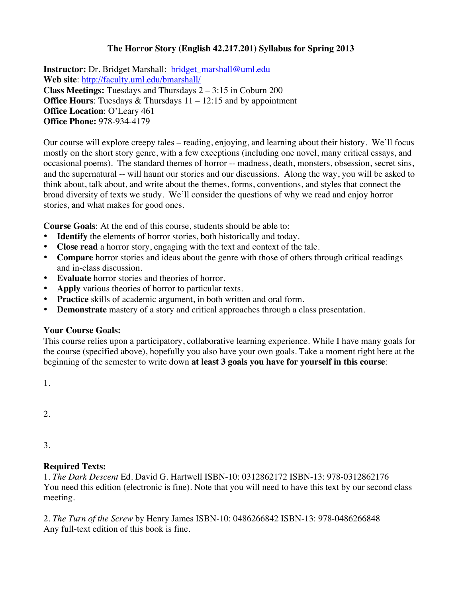# **The Horror Story (English 42.217.201) Syllabus for Spring 2013**

**Instructor:** Dr. Bridget Marshall: bridget\_marshall@uml.edu **Web site**: http://faculty.uml.edu/bmarshall/ **Class Meetings:** Tuesdays and Thursdays 2 – 3:15 in Coburn 200 **Office Hours:** Tuesdays & Thursdays  $11 - 12:15$  and by appointment **Office Location**: O'Leary 461 **Office Phone:** 978-934-4179

Our course will explore creepy tales – reading, enjoying, and learning about their history. We'll focus mostly on the short story genre, with a few exceptions (including one novel, many critical essays, and occasional poems). The standard themes of horror -- madness, death, monsters, obsession, secret sins, and the supernatural -- will haunt our stories and our discussions. Along the way, you will be asked to think about, talk about, and write about the themes, forms, conventions, and styles that connect the broad diversity of texts we study. We'll consider the questions of why we read and enjoy horror stories, and what makes for good ones.

**Course Goals**: At the end of this course, students should be able to:

- **Identify** the elements of horror stories, both historically and today.
- **Close read** a horror story, engaging with the text and context of the tale.
- **Compare** horror stories and ideas about the genre with those of others through critical readings and in-class discussion.
- **Evaluate** horror stories and theories of horror.
- **Apply** various theories of horror to particular texts.
- **Practice** skills of academic argument, in both written and oral form.
- **Demonstrate** mastery of a story and critical approaches through a class presentation.

### **Your Course Goals:**

This course relies upon a participatory, collaborative learning experience. While I have many goals for the course (specified above), hopefully you also have your own goals. Take a moment right here at the beginning of the semester to write down **at least 3 goals you have for yourself in this course**:

1.

2.

3.

## **Required Texts:**

1. *The Dark Descent* Ed. David G. Hartwell ISBN-10: 0312862172 ISBN-13: 978-0312862176 You need this edition (electronic is fine). Note that you will need to have this text by our second class meeting.

2. *The Turn of the Screw* by Henry James ISBN-10: 0486266842 ISBN-13: 978-0486266848 Any full-text edition of this book is fine.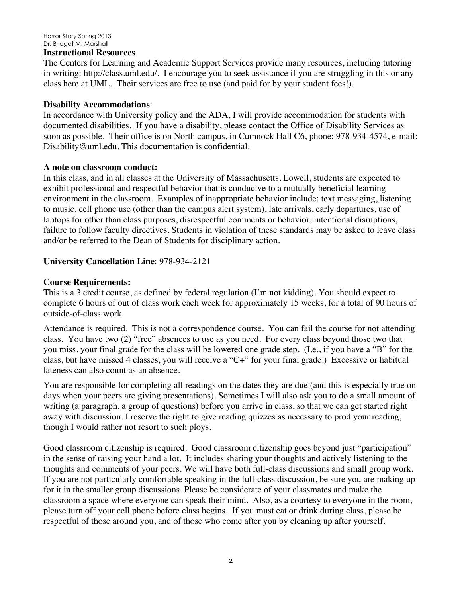#### Horror Story Spring 2013 Dr. Bridget M. Marshall

#### **Instructional Resources**

The Centers for Learning and Academic Support Services provide many resources, including tutoring in writing: http://class.uml.edu/. I encourage you to seek assistance if you are struggling in this or any class here at UML. Their services are free to use (and paid for by your student fees!).

### **Disability Accommodations**:

In accordance with University policy and the ADA, I will provide accommodation for students with documented disabilities. If you have a disability, please contact the Office of Disability Services as soon as possible. Their office is on North campus, in Cumnock Hall C6, phone: 978-934-4574, e-mail: Disability@uml.edu. This documentation is confidential.

### **A note on classroom conduct:**

In this class, and in all classes at the University of Massachusetts, Lowell, students are expected to exhibit professional and respectful behavior that is conducive to a mutually beneficial learning environment in the classroom. Examples of inappropriate behavior include: text messaging, listening to music, cell phone use (other than the campus alert system), late arrivals, early departures, use of laptops for other than class purposes, disrespectful comments or behavior, intentional disruptions, failure to follow faculty directives. Students in violation of these standards may be asked to leave class and/or be referred to the Dean of Students for disciplinary action.

### **University Cancellation Line**: 978-934-2121

### **Course Requirements:**

This is a 3 credit course, as defined by federal regulation (I'm not kidding). You should expect to complete 6 hours of out of class work each week for approximately 15 weeks, for a total of 90 hours of outside-of-class work.

Attendance is required. This is not a correspondence course. You can fail the course for not attending class. You have two (2) "free" absences to use as you need. For every class beyond those two that you miss, your final grade for the class will be lowered one grade step. (I.e., if you have a "B" for the class, but have missed 4 classes, you will receive a "C+" for your final grade.) Excessive or habitual lateness can also count as an absence.

You are responsible for completing all readings on the dates they are due (and this is especially true on days when your peers are giving presentations). Sometimes I will also ask you to do a small amount of writing (a paragraph, a group of questions) before you arrive in class, so that we can get started right away with discussion. I reserve the right to give reading quizzes as necessary to prod your reading, though I would rather not resort to such ploys.

Good classroom citizenship is required. Good classroom citizenship goes beyond just "participation" in the sense of raising your hand a lot. It includes sharing your thoughts and actively listening to the thoughts and comments of your peers. We will have both full-class discussions and small group work. If you are not particularly comfortable speaking in the full-class discussion, be sure you are making up for it in the smaller group discussions. Please be considerate of your classmates and make the classroom a space where everyone can speak their mind. Also, as a courtesy to everyone in the room, please turn off your cell phone before class begins. If you must eat or drink during class, please be respectful of those around you, and of those who come after you by cleaning up after yourself.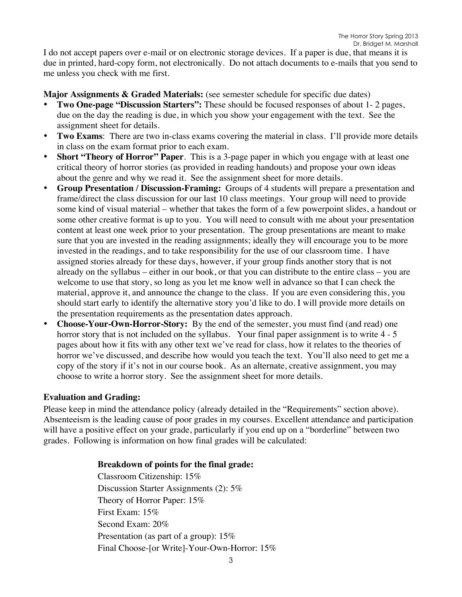I do not accept papers over e-mail or on electronic storage devices. If a paper is due, that means it is due in printed, hard-copy form, not electronically. Do not attach documents to e-mails that you send to me unless you check with me first.

**Major Assignments & Graded Materials:** (see semester schedule for specific due dates)

- **Two One-page "Discussion Starters":** These should be focused responses of about 1- 2 pages, due on the day the reading is due, in which you show your engagement with the text. See the assignment sheet for details.
- **Two Exams**: There are two in-class exams covering the material in class. I'll provide more details in class on the exam format prior to each exam.
- **Short "Theory of Horror" Paper**. This is a 3-page paper in which you engage with at least one critical theory of horror stories (as provided in reading handouts) and propose your own ideas about the genre and why we read it. See the assignment sheet for more details.
- **Group Presentation / Discussion-Framing:** Groups of 4 students will prepare a presentation and frame/direct the class discussion for our last 10 class meetings. Your group will need to provide some kind of visual material – whether that takes the form of a few powerpoint slides, a handout or some other creative format is up to you. You will need to consult with me about your presentation content at least one week prior to your presentation. The group presentations are meant to make sure that you are invested in the reading assignments; ideally they will encourage you to be more invested in the readings, and to take responsibility for the use of our classroom time. I have assigned stories already for these days, however, if your group finds another story that is not already on the syllabus – either in our book, or that you can distribute to the entire class – you are welcome to use that story, so long as you let me know well in advance so that I can check the material, approve it, and announce the change to the class. If you are even considering this, you should start early to identify the alternative story you'd like to do. I will provide more details on the presentation requirements as the presentation dates approach.
- **Choose-Your-Own-Horror-Story:** By the end of the semester, you must find (and read) one horror story that is not included on the syllabus. Your final paper assignment is to write 4 - 5 pages about how it fits with any other text we've read for class, how it relates to the theories of horror we've discussed, and describe how would you teach the text. You'll also need to get me a copy of the story if it's not in our course book. As an alternate, creative assignment, you may choose to write a horror story. See the assignment sheet for more details.

### **Evaluation and Grading:**

Please keep in mind the attendance policy (already detailed in the "Requirements" section above). Absenteeism is the leading cause of poor grades in my courses. Excellent attendance and participation will have a positive effect on your grade, particularly if you end up on a "borderline" between two grades. Following is information on how final grades will be calculated:

### **Breakdown of points for the final grade:**

Classroom Citizenship: 15% Discussion Starter Assignments (2): 5% Theory of Horror Paper: 15% First Exam: 15% Second Exam: 20% Presentation (as part of a group): 15% Final Choose-[or Write]-Your-Own-Horror: 15%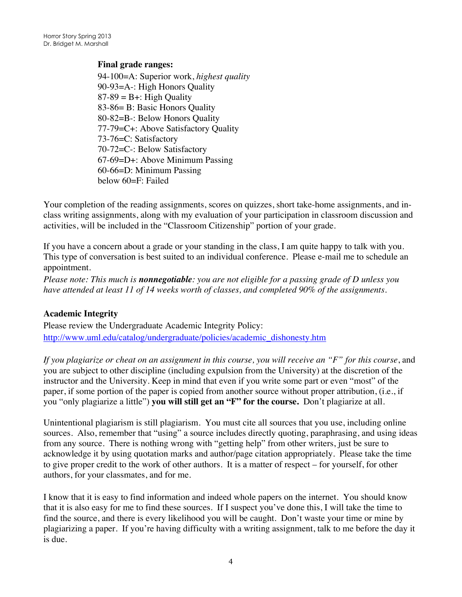### **Final grade ranges:**

94-100=A: Superior work, *highest quality* 90-93=A-: High Honors Quality  $87-89 = B +$ : High Quality 83-86= B: Basic Honors Quality 80-82=B-: Below Honors Quality 77-79=C+: Above Satisfactory Quality 73-76=C: Satisfactory 70-72=C-: Below Satisfactory 67-69=D+: Above Minimum Passing 60-66=D: Minimum Passing below 60=F: Failed

Your completion of the reading assignments, scores on quizzes, short take-home assignments, and inclass writing assignments, along with my evaluation of your participation in classroom discussion and activities, will be included in the "Classroom Citizenship" portion of your grade.

If you have a concern about a grade or your standing in the class, I am quite happy to talk with you. This type of conversation is best suited to an individual conference. Please e-mail me to schedule an appointment.

*Please note: This much is nonnegotiable: you are not eligible for a passing grade of D unless you have attended at least 11 of 14 weeks worth of classes, and completed 90% of the assignments.* 

## **Academic Integrity**

Please review the Undergraduate Academic Integrity Policy: http://www.uml.edu/catalog/undergraduate/policies/academic\_dishonesty.htm

*If you plagiarize or cheat on an assignment in this course, you will receive an "F" for this course*, and you are subject to other discipline (including expulsion from the University) at the discretion of the instructor and the University. Keep in mind that even if you write some part or even "most" of the paper, if some portion of the paper is copied from another source without proper attribution, (i.e., if you "only plagiarize a little") **you will still get an "F" for the course.** Don't plagiarize at all.

Unintentional plagiarism is still plagiarism. You must cite all sources that you use, including online sources. Also, remember that "using" a source includes directly quoting, paraphrasing, and using ideas from any source. There is nothing wrong with "getting help" from other writers, just be sure to acknowledge it by using quotation marks and author/page citation appropriately. Please take the time to give proper credit to the work of other authors. It is a matter of respect – for yourself, for other authors, for your classmates, and for me.

I know that it is easy to find information and indeed whole papers on the internet. You should know that it is also easy for me to find these sources. If I suspect you've done this, I will take the time to find the source, and there is every likelihood you will be caught. Don't waste your time or mine by plagiarizing a paper. If you're having difficulty with a writing assignment, talk to me before the day it is due.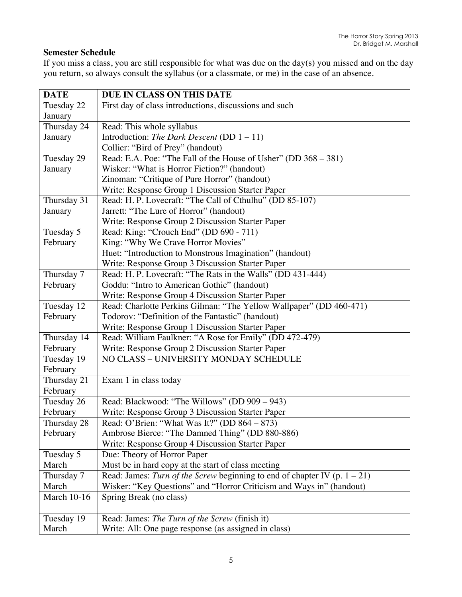# **Semester Schedule**

If you miss a class, you are still responsible for what was due on the day(s) you missed and on the day you return, so always consult the syllabus (or a classmate, or me) in the case of an absence.

| <b>DATE</b>        | DUE IN CLASS ON THIS DATE                                                    |
|--------------------|------------------------------------------------------------------------------|
| Tuesday 22         | First day of class introductions, discussions and such                       |
| January            |                                                                              |
| Thursday 24        | Read: This whole syllabus                                                    |
| January            | Introduction: The Dark Descent (DD $1 - 11$ )                                |
|                    | Collier: "Bird of Prey" (handout)                                            |
| Tuesday 29         | Read: E.A. Poe: "The Fall of the House of Usher" (DD 368 – 381)              |
| January            | Wisker: "What is Horror Fiction?" (handout)                                  |
|                    | Zinoman: "Critique of Pure Horror" (handout)                                 |
|                    | Write: Response Group 1 Discussion Starter Paper                             |
| Thursday 31        | Read: H. P. Lovecraft: "The Call of Cthulhu" (DD 85-107)                     |
| January            | Jarrett: "The Lure of Horror" (handout)                                      |
|                    | Write: Response Group 2 Discussion Starter Paper                             |
| Tuesday 5          | Read: King: "Crouch End" (DD 690 - 711)                                      |
| February           | King: "Why We Crave Horror Movies"                                           |
|                    | Huet: "Introduction to Monstrous Imagination" (handout)                      |
|                    | Write: Response Group 3 Discussion Starter Paper                             |
| Thursday 7         | Read: H. P. Lovecraft: "The Rats in the Walls" (DD 431-444)                  |
| February           | Goddu: "Intro to American Gothic" (handout)                                  |
|                    | Write: Response Group 4 Discussion Starter Paper                             |
| Tuesday 12         | Read: Charlotte Perkins Gilman: "The Yellow Wallpaper" (DD 460-471)          |
| February           | Todorov: "Definition of the Fantastic" (handout)                             |
|                    | Write: Response Group 1 Discussion Starter Paper                             |
| Thursday 14        | Read: William Faulkner: "A Rose for Emily" (DD 472-479)                      |
| February           | Write: Response Group 2 Discussion Starter Paper                             |
| Tuesday 19         | NO CLASS - UNIVERSITY MONDAY SCHEDULE                                        |
| February           |                                                                              |
| Thursday 21        | Exam 1 in class today                                                        |
| February           |                                                                              |
| Tuesday 26         | Read: Blackwood: "The Willows" (DD 909 - 943)                                |
| February           | Write: Response Group 3 Discussion Starter Paper                             |
| Thursday 28        | Read: O'Brien: "What Was It?" (DD 864 - 873)                                 |
| February           | Ambrose Bierce: "The Damned Thing" (DD 880-886)                              |
|                    | Write: Response Group 4 Discussion Starter Paper                             |
| Tuesday 5          | Due: Theory of Horror Paper                                                  |
| March              | Must be in hard copy at the start of class meeting                           |
| Thursday 7         | Read: James: Turn of the Screw beginning to end of chapter IV (p. $1 - 21$ ) |
| March              | Wisker: "Key Questions" and "Horror Criticism and Ways in" (handout)         |
| <b>March 10-16</b> | Spring Break (no class)                                                      |
|                    |                                                                              |
| Tuesday 19         | Read: James: The Turn of the Screw (finish it)                               |
| March              | Write: All: One page response (as assigned in class)                         |